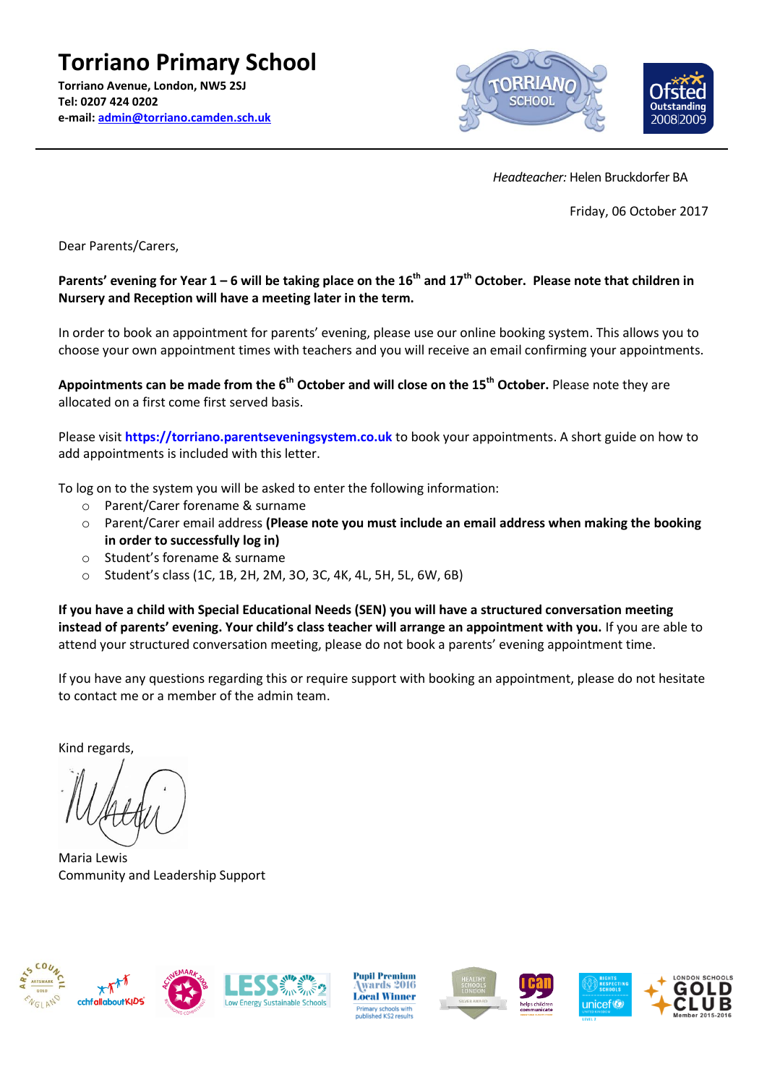

 *Headteacher:* Helen Bruckdorfer BA

Friday, 06 October 2017

Dear Parents/Carers,

#### **Parents' evening for Year 1 – 6 will be taking place on the 16th and 17th October. Please note that children in Nursery and Reception will have a meeting later in the term.**

In order to book an appointment for parents' evening, please use our online booking system. This allows you to choose your own appointment times with teachers and you will receive an email confirming your appointments.

**Appointments can be made from the 6 th October and will close on the 15th October.** Please note they are allocated on a first come first served basis.

Please visit **https://torriano.parentseveningsystem.co.uk** to book your appointments. A short guide on how to add appointments is included with this letter.

To log on to the system you will be asked to enter the following information:

- o Parent/Carer forename & surname
- o Parent/Carer email address **(Please note you must include an email address when making the booking in order to successfully log in)**
- o Student's forename & surname
- o Student's class (1C, 1B, 2H, 2M, 3O, 3C, 4K, 4L, 5H, 5L, 6W, 6B)

**If you have a child with Special Educational Needs (SEN) you will have a structured conversation meeting instead of parents' evening. Your child's class teacher will arrange an appointment with you.** If you are able to attend your structured conversation meeting, please do not book a parents' evening appointment time.

If you have any questions regarding this or require support with booking an appointment, please do not hesitate to contact me or a member of the admin team.

Kind regards,

Maria Lewis Community and Leadership Support



**Pupil Premium** wards 2016 **Local Winner** ry sc<mark>hools</mark><br>hed KS2 re:





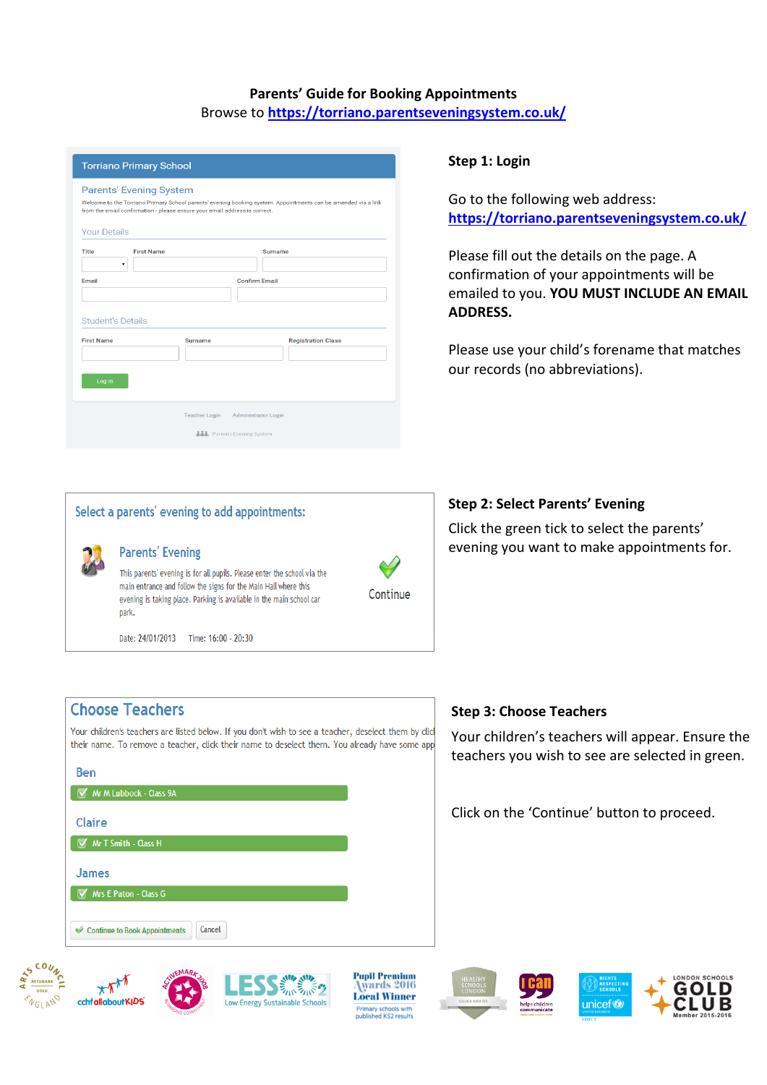# **Parents' Guide for Booking Appointments** Browse to **https://torriano.parentseveningsystem.co.uk/**

| <b>Torriano Primary School</b> |                                                                                                              |                                                                                                                |  |  |  |  |  |
|--------------------------------|--------------------------------------------------------------------------------------------------------------|----------------------------------------------------------------------------------------------------------------|--|--|--|--|--|
| <b>Your Details</b>            | <b>Parents' Evening System</b><br>from the email confirmation - please ensure your email address is correct. | Welcome to the Torriano Primary School parents' evening booking system. Appointments can be amended via a link |  |  |  |  |  |
| Title                          | <b>First Name</b>                                                                                            | Surname                                                                                                        |  |  |  |  |  |
|                                | ۰.                                                                                                           |                                                                                                                |  |  |  |  |  |
| Email                          |                                                                                                              | <b>Confirm Email</b>                                                                                           |  |  |  |  |  |
|                                | <b>Student's Details</b>                                                                                     |                                                                                                                |  |  |  |  |  |
| <b>First Name</b>              | <b>Surname</b>                                                                                               | <b>Registration Class</b>                                                                                      |  |  |  |  |  |
| Log In                         |                                                                                                              |                                                                                                                |  |  |  |  |  |
|                                | <b>Teacher Login</b>                                                                                         | <b>Administrator Login</b>                                                                                     |  |  |  |  |  |
|                                |                                                                                                              | <b>ふふる</b> Parents Evening System                                                                              |  |  |  |  |  |

### **Step 1: Login**

Go to the following web address: **https://torriano.parentseveningsystem.co.uk/**

Please fill out the details on the page. A confirmation of your appointments will be emailed to you. **YOU MUST INCLUDE AN EMAIL ADDRESS.**

Please use your child's forename that matches our records (no abbreviations).

### **Step 2: Select Parents' Evening**

Click the green tick to select the parents' evening you want to make appointments for.



## **Step 3: Choose Teachers**

Your children's teachers will appear. Ensure the teachers you wish to see are selected in green.

Click on the 'Continue' button to proceed.









ラッパシップ

**Pupil Premium** wards 2016 **Local Winner** Primary schools with<br>published KS2 results